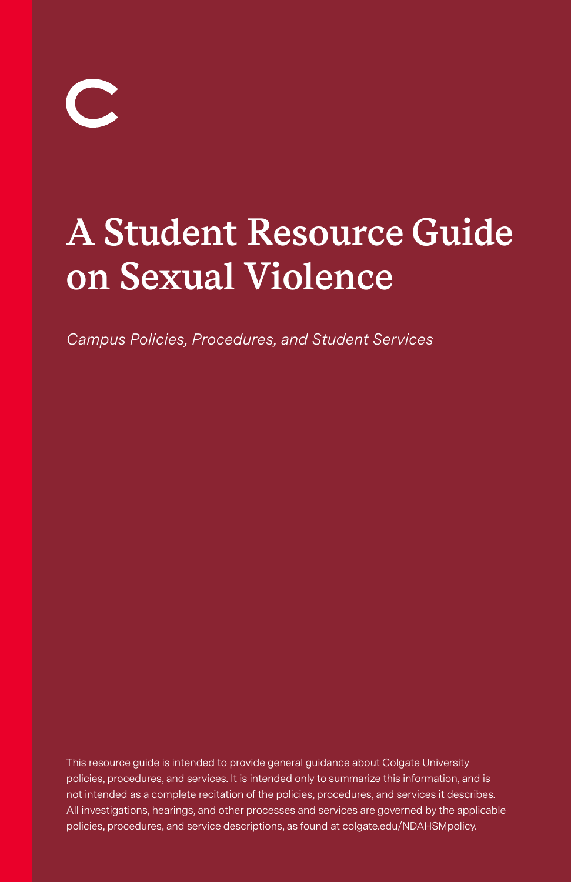

# **A Student Resource Guide on Sexual Violence**

 *Campus Policies, Procedures, and Student Services* 

 This resource guide is intended to provide general guidance about Colgate University policies, procedures, and services. It is intended only to summarize this information, and is policies, procedures, and service descriptions, as found at [colgate.edu/NDAHSMpolicy.](http://colgate.edu/NDAHSMpolicy)  not intended as a complete recitation of the policies, procedures, and services it describes. All investigations, hearings, and other processes and services are governed by the applicable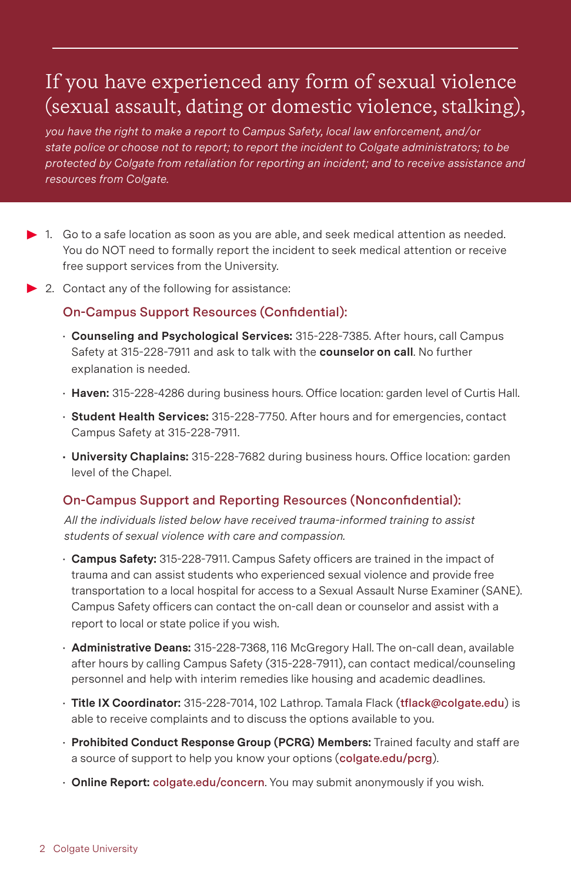### If you have experienced any form of sexual violence (sexual assault, dating or domestic violence, stalking),

*you have the right to make a report to Campus Safety, local law enforcement, and/or state police or choose not to report; to report the incident to Colgate administrators; to be protected by Colgate from retaliation for reporting an incident; and to receive assistance and resources from Colgate.* 

- 1. Go to a safe location as soon as you are able, and seek medical attention as needed. You do NOT need to formally report the incident to seek medical attention or receive free support services from the University.
- 2. Contact any of the following for assistance:

### **On-Campus Support Resources (Confidential):**

- • **Counseling and Psychological Services:** 315-228-7385. After hours, call Campus Safety at 315-228-7911 and ask to talk with the **counselor on call**. No further explanation is needed.
- **Haven:** 315-228-4286 during business hours. Office location: garden level of Curtis Hall.
- • **Student Health Services:** 315-228-7750. After hours and for emergencies, contact Campus Safety at 315-228-7911.
- **University Chaplains:** 315-228-7682 during business hours. Office location: garden level of the Chapel.

### **On-Campus Support and Reporting Resources (Nonconfidential):**

 *All the individuals listed below have received trauma-informed training to assist students of sexual violence with care and compassion.*  students of sexual violence with care and compassion.

- • **Campus Safety:** 315-228-7911. Campus Safety officers are trained in the impact of trauma and can assist students who experienced sexual violence and provide free transportation to a local hospital for access to a Sexual Assault Nurse Examiner (SANE). Campus Safety officers can contact the on-call dean or counselor and assist with a report to local or state police if you wish.
- • **Administrative Deans:** 315-228-7368, 116 McGregory Hall. The on-call dean, available after hours by calling Campus Safety (315-228-7911), can contact medical/counseling personnel and help with interim remedies like housing and academic deadlines.
- • **Title IX Coordinator:** 315-228-7014, 102 Lathrop. Tamala Flack (**[tflack@colgate.edu](mailto:tflack@colgate.edu)**) is able to receive complaints and to discuss the options available to you.
- • **Prohibited Conduct Response Group (PCRG) Members:** Trained faculty and staff are a source of support to help you know your options (**[colgate.edu/pcrg](http://colgate.edu/pcrg)**).
- **Online Report: [colgate.edu/concern](http://colgate.edu/concern)**. You may submit anonymously if you wish.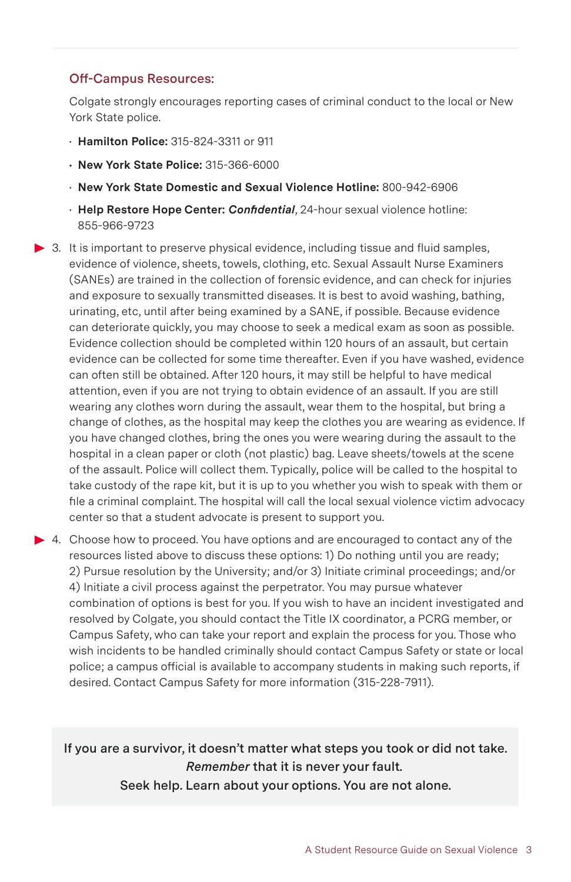### **Off-Campus Resources:**

 Colgate strongly encourages reporting cases of criminal conduct to the local or New York State police.

- **Hamilton Police:** 315-824-3311 or 911
- **New York State Police:** 315-366-6000
- **New York State Domestic and Sexual Violence Hotline:** 800-942-6906
- • **Help Restore Hope Center:** *Confidential*, 24-hour sexual violence hotline: 855-966-9723
- evidence of violence, sheets, towels, clothing, etc. Sexual Assault Nurse Examiners (SANEs) are trained in the collection of forensic evidence, and can check for injuries and exposure to sexually transmitted diseases. It is best to avoid washing, bathing, urinating, etc, until after being examined by a SANE, if possible. Because evidence can deteriorate quickly, you may choose to seek a medical exam as soon as possible. Evidence collection should be completed within 120 hours of an assault, but certain evidence can be collected for some time thereafter. Even if you have washed, evidence can often still be obtained. After 120 hours, it may still be helpful to have medical attention, even if you are not trying to obtain evidence of an assault. If you are still wearing any clothes worn during the assault, wear them to the hospital, but bring a change of clothes, as the hospital may keep the clothes you are wearing as evidence. If you have changed clothes, bring the ones you were wearing during the assault to the hospital in a clean paper or cloth (not plastic) bag. Leave sheets/towels at the scene of the assault. Police will collect them. Typically, police will be called to the hospital to take custody of the rape kit, but it is up to you whether you wish to speak with them or file a criminal complaint. The hospital will call the local sexual violence victim advocacy center so that a student advocate is present to support you. 3. It is important to preserve physical evidence, including tissue and fluid samples,
- 4. Choose how to proceed. You have options and are encouraged to contact any of the resources listed above to discuss these options: 1) Do nothing until you are ready; 2) Pursue resolution by the University; and/or 3) Initiate criminal proceedings; and/or 4) Initiate a civil process against the perpetrator. You may pursue whatever combination of options is best for you. If you wish to have an incident investigated and resolved by Colgate, you should contact the Title IX coordinator, a PCRG member, or Campus Safety, who can take your report and explain the process for you. Those who wish incidents to be handled criminally should contact Campus Safety or state or local police; a campus official is available to accompany students in making such reports, if desired. Contact Campus Safety for more information (315-228-7911).

 **If you are a survivor, it doesn't matter what steps you took or did not take. Seek help. Learn about your options. You are not alone.**  *Remember* **that it is never your fault.**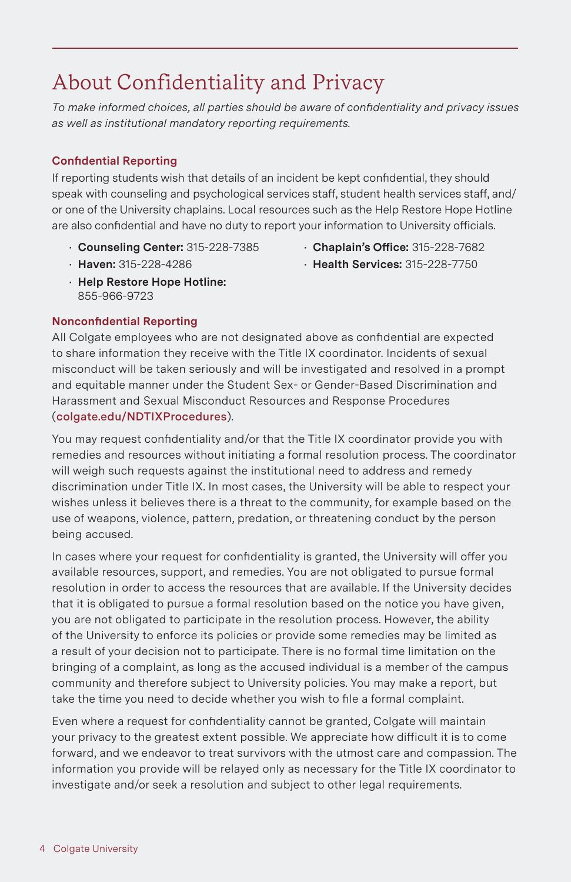# About Confidentiality and Privacy

 *To make informed choices, all parties should be aware of confidentiality and privacy issues as well as institutional mandatory reporting requirements.* 

### **Confidential Reporting**

 If reporting students wish that details of an incident be kept confidential, they should or one of the University chaplains. Local resources such as the Help Restore Hope Hotline are also confidential and have no duty to report your information to University officials. speak with counseling and psychological services staff, student health services staff, and/

- **Counseling Center:** 315-228-7385
- **Chaplain's Office:** 315-228-7682

• **Haven:** 315-228-4286

- **Health Services:** 315-228-7750
- **Help Restore Hope Hotline:**  855-966-9723

### **Nonconfidential Reporting**

 All Colgate employees who are not designated above as confidential are expected to share information they receive with the Title IX coordinator. Incidents of sexual misconduct will be taken seriously and will be investigated and resolved in a prompt and equitable manner under the Student Sex- or Gender-Based Discrimination and Harassment and Sexual Misconduct Resources and Response Procedures (**[colgate.edu/NDTIXProcedures](http://colgate.edu/NDTIXProcedures)**).

 You may request confidentiality and/or that the Title IX coordinator provide you with remedies and resources without initiating a formal resolution process. The coordinator discrimination under Title IX. In most cases, the University will be able to respect your wishes unless it believes there is a threat to the community, for example based on the use of weapons, violence, pattern, predation, or threatening conduct by the person will weigh such requests against the institutional need to address and remedy being accused.

 In cases where your request for confidentiality is granted, the University will offer you available resources, support, and remedies. You are not obligated to pursue formal resolution in order to access the resources that are available. If the University decides that it is obligated to pursue a formal resolution based on the notice you have given, you are not obligated to participate in the resolution process. However, the ability of the University to enforce its policies or provide some remedies may be limited as a result of your decision not to participate. There is no formal time limitation on the bringing of a complaint, as long as the accused individual is a member of the campus community and therefore subject to University policies. You may make a report, but take the time you need to decide whether you wish to file a formal complaint.

 Even where a request for confidentiality cannot be granted, Colgate will maintain your privacy to the greatest extent possible. We appreciate how difficult it is to come forward, and we endeavor to treat survivors with the utmost care and compassion. The information you provide will be relayed only as necessary for the Title IX coordinator to investigate and/or seek a resolution and subject to other legal requirements.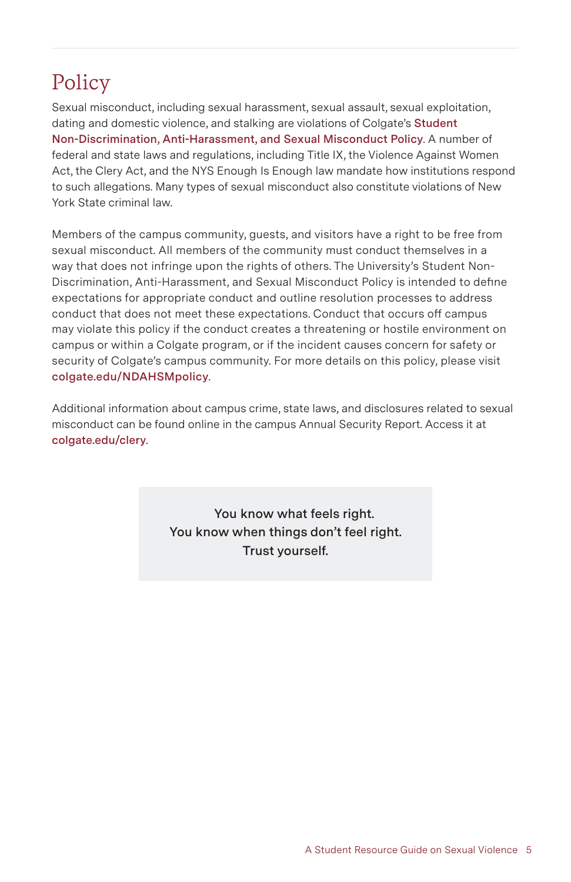# **Policy**

 dating and domestic violence, and stalking are violations of Colgate's **Student Non-Discrimination, Anti-Harassment, and Sexual Misconduct Policy**. A number of federal and state laws and regulations, including Title IX, the Violence Against Women Act, the Clery Act, and the NYS Enough Is Enough law mandate how institutions respond to such allegations. Many types of sexual misconduct also constitute violations of New Sexual misconduct, including sexual harassment, sexual assault, sexual exploitation, York State criminal law.

 Members of the campus community, guests, and visitors have a right to be free from sexual misconduct. All members of the community must conduct themselves in a way that does not infringe upon the rights of others. The University's Student Non- Discrimination, Anti-Harassment, and Sexual Misconduct Policy is intended to define expectations for appropriate conduct and outline resolution processes to address conduct that does not meet these expectations. Conduct that occurs off campus may violate this policy if the conduct creates a threatening or hostile environment on campus or within a Colgate program, or if the incident causes concern for safety or security of Colgate's campus community. For more details on this policy, please visit **[colgate.edu/NDAHSMpolicy](http://colgate.edu/NDAHSMpolicy)**.

 Additional information about campus crime, state laws, and disclosures related to sexual misconduct can be found online in the campus Annual Security Report. Access it at **[colgate.edu/clery](http://colgate.edu/clery)**.

> **You know what feels right. You know when things don't feel right. Trust yourself.**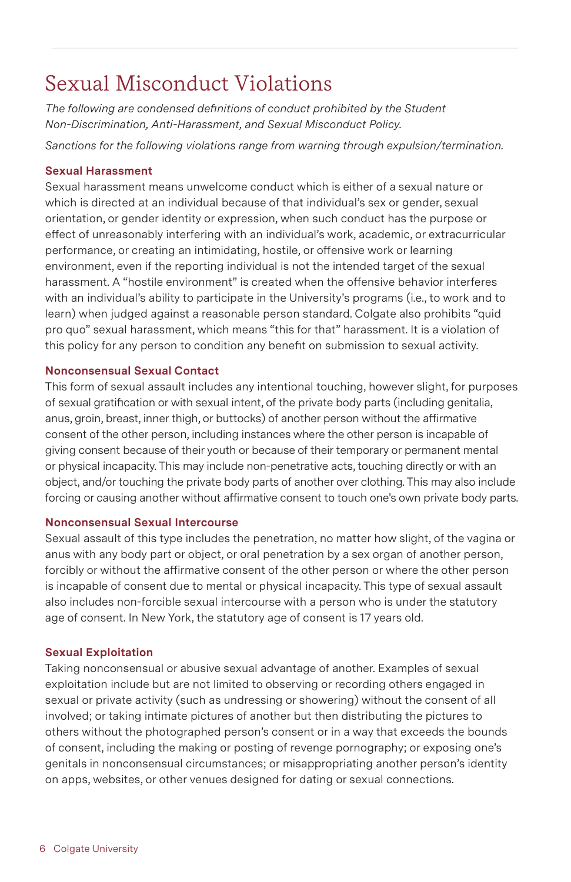### Sexual Misconduct Violations

 *The following are condensed definitions of conduct prohibited by the Student Non-Discrimination, Anti-Harassment, and Sexual Misconduct Policy.* 

 *Sanctions for the following violations range from warning through expulsion/termination.* 

#### **Sexual Harassment**

 Sexual harassment means unwelcome conduct which is either of a sexual nature or which is directed at an individual because of that individual's sex or gender, sexual orientation, or gender identity or expression, when such conduct has the purpose or environment, even if the reporting individual is not the intended target of the sexual harassment. A "hostile environment" is created when the offensive behavior interferes with an individual's ability to participate in the University's programs (i.e., to work and to pro quo" sexual harassment, which means "this for that" harassment. It is a violation of effect of unreasonably interfering with an individual's work, academic, or extracurricular performance, or creating an intimidating, hostile, or offensive work or learning learn) when judged against a reasonable person standard. Colgate also prohibits "quid this policy for any person to condition any benefit on submission to sexual activity.

### **Nonconsensual Sexual Contact**

 This form of sexual assault includes any intentional touching, however slight, for purposes of sexual gratification or with sexual intent, of the private body parts (including genitalia, anus, groin, breast, inner thigh, or buttocks) of another person without the affirmative consent of the other person, including instances where the other person is incapable of giving consent because of their youth or because of their temporary or permanent mental or physical incapacity. This may include non-penetrative acts, touching directly or with an object, and/or touching the private body parts of another over clothing. This may also include forcing or causing another without affirmative consent to touch one's own private body parts.

### **Nonconsensual Sexual Intercourse**

 Sexual assault of this type includes the penetration, no matter how slight, of the vagina or anus with any body part or object, or oral penetration by a sex organ of another person, forcibly or without the affirmative consent of the other person or where the other person is incapable of consent due to mental or physical incapacity. This type of sexual assault also includes non-forcible sexual intercourse with a person who is under the statutory age of consent. In New York, the statutory age of consent is 17 years old.

#### **Sexual Exploitation**

 Taking nonconsensual or abusive sexual advantage of another. Examples of sexual sexual or private activity (such as undressing or showering) without the consent of all involved; or taking intimate pictures of another but then distributing the pictures to others without the photographed person's consent or in a way that exceeds the bounds of consent, including the making or posting of revenge pornography; or exposing one's exploitation include but are not limited to observing or recording others engaged in genitals in nonconsensual circumstances; or misappropriating another person's identity on apps, websites, or other venues designed for dating or sexual connections.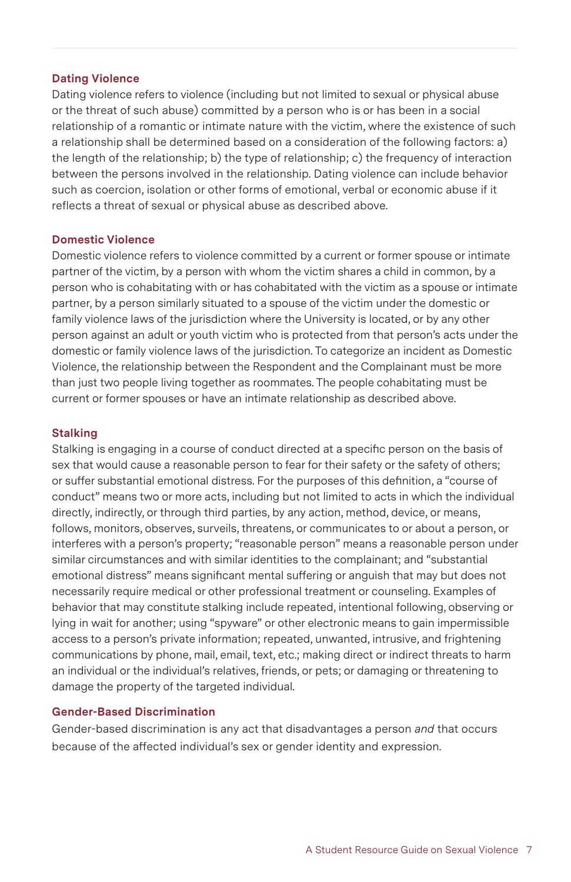#### **Dating Violence**

 Dating violence refers to violence (including but not limited to sexual or physical abuse or the threat of such abuse) committed by a person who is or has been in a social relationship of a romantic or intimate nature with the victim, where the existence of such a relationship shall be determined based on a consideration of the following factors: a) the length of the relationship; b) the type of relationship; c) the frequency of interaction such as coercion, isolation or other forms of emotional, verbal or economic abuse if it reflects a threat of sexual or physical abuse as described above. between the persons involved in the relationship. Dating violence can include behavior

#### **Domestic Violence**

 Domestic violence refers to violence committed by a current or former spouse or intimate partner of the victim, by a person with whom the victim shares a child in common, by a person who is cohabitating with or has cohabitated with the victim as a spouse or intimate partner, by a person similarly situated to a spouse of the victim under the domestic or family violence laws of the jurisdiction where the University is located, or by any other person against an adult or youth victim who is protected from that person's acts under the domestic or family violence laws of the jurisdiction. To categorize an incident as Domestic than just two people living together as roommates. The people cohabitating must be current or former spouses or have an intimate relationship as described above. Violence, the relationship between the Respondent and the Complainant must be more

#### **Stalking**

 Stalking is engaging in a course of conduct directed at a specific person on the basis of sex that would cause a reasonable person to fear for their safety or the safety of others; or suffer substantial emotional distress. For the purposes of this definition, a "course of conduct" means two or more acts, including but not limited to acts in which the individual directly, indirectly, or through third parties, by any action, method, device, or means, follows, monitors, observes, surveils, threatens, or communicates to or about a person, or similar circumstances and with similar identities to the complainant; and "substantial necessarily require medical or other professional treatment or counseling. Examples of behavior that may constitute stalking include repeated, intentional following, observing or lying in wait for another; using "spyware" or other electronic means to gain impermissible communications by phone, mail, email, text, etc.; making direct or indirect threats to harm an individual or the individual's relatives, friends, or pets; or damaging or threatening to damage the property of the targeted individual. interferes with a person's property; "reasonable person" means a reasonable person under emotional distress" means significant mental suffering or anguish that may but does not access to a person's private information; repeated, unwanted, intrusive, and frightening

### **Gender-Based Discrimination**

 Gender-based discrimination is any act that disadvantages a person *and* that occurs because of the affected individual's sex or gender identity and expression.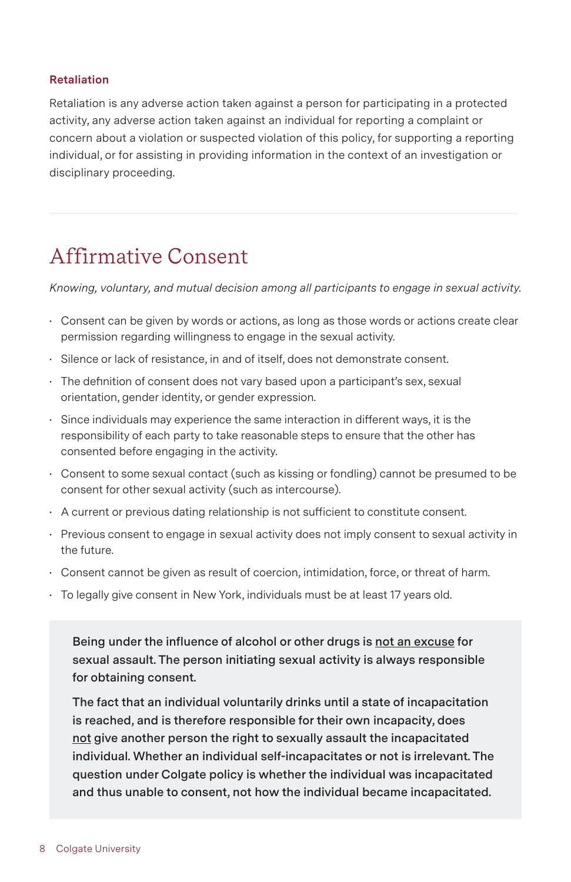### **Retaliation**

 activity, any adverse action taken against an individual for reporting a complaint or concern about a violation or suspected violation of this policy, for supporting a reporting individual, or for assisting in providing information in the context of an investigation or Retaliation is any adverse action taken against a person for participating in a protected disciplinary proceeding.

### Affirmative Consent

 *Knowing, voluntary, and mutual decision among all participants to engage in sexual activity.* 

- $\cdot$  Consent can be given by words or actions, as long as those words or actions create clear permission regarding willingness to engage in the sexual activity.
- $\cdot$  Silence or lack of resistance, in and of itself, does not demonstrate consent.
- $\,\cdot\,$  The definition of consent does not vary based upon a participant's sex, sexual orientation, gender identity, or gender expression.
- $\cdot$  Since individuals may experience the same interaction in different ways, it is the responsibility of each party to take reasonable steps to ensure that the other has consented before engaging in the activity.
- $\cdot$  Consent to some sexual contact (such as kissing or fondling) cannot be presumed to be consent for other sexual activity (such as intercourse).
- $\cdot$  A current or previous dating relationship is not sufficient to constitute consent.
- $\cdot$  Previous consent to engage in sexual activity does not imply consent to sexual activity in the future.
- $\cdot$  Consent cannot be given as result of coercion, intimidation, force, or threat of harm.
- $\cdot$  To legally give consent in New York, individuals must be at least 17 years old.

 **Being under the influence of alcohol or other drugs is not an excuse for sexual assault. The person initiating sexual activity is always responsible for obtaining consent.** 

**The fact that an individual voluntarily drinks until a state of incapacitation is reached, and is therefore responsible for their own incapacity, does not give another person the right to sexually assault the incapacitated individual. Whether an individual self-incapacitates or not is irrelevant. The question under Colgate policy is whether the individual was incapacitated and thus unable to consent, not how the individual became incapacitated.**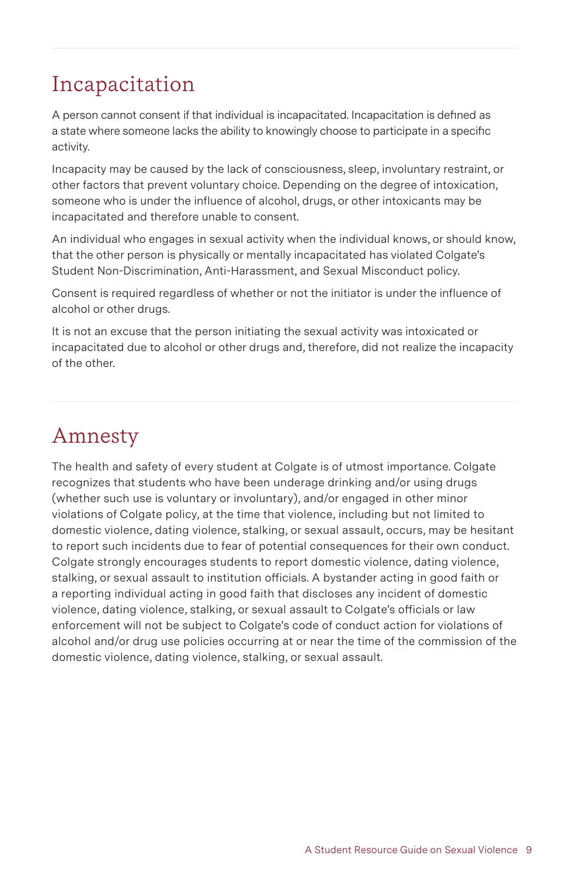### Incapacitation

 A person cannot consent if that individual is incapacitated. Incapacitation is defined as a state where someone lacks the ability to knowingly choose to participate in a specific activity.

 Incapacity may be caused by the lack of consciousness, sleep, involuntary restraint, or other factors that prevent voluntary choice. Depending on the degree of intoxication, someone who is under the influence of alcohol, drugs, or other intoxicants may be incapacitated and therefore unable to consent.

 that the other person is physically or mentally incapacitated has violated Colgate's An individual who engages in sexual activity when the individual knows, or should know, Student Non-Discrimination, Anti-Harassment, and Sexual Misconduct policy.

 Consent is required regardless of whether or not the initiator is under the influence of alcohol or other drugs.

 It is not an excuse that the person initiating the sexual activity was intoxicated or incapacitated due to alcohol or other drugs and, therefore, did not realize the incapacity of the other.

# Amnesty

 The health and safety of every student at Colgate is of utmost importance. Colgate recognizes that students who have been underage drinking and/or using drugs (whether such use is voluntary or involuntary), and/or engaged in other minor violations of Colgate policy, at the time that violence, including but not limited to domestic violence, dating violence, stalking, or sexual assault, occurs, may be hesitant to report such incidents due to fear of potential consequences for their own conduct. Colgate strongly encourages students to report domestic violence, dating violence, stalking, or sexual assault to institution officials. A bystander acting in good faith or a reporting individual acting in good faith that discloses any incident of domestic violence, dating violence, stalking, or sexual assault to Colgate's officials or law enforcement will not be subject to Colgate's code of conduct action for violations of alcohol and/or drug use policies occurring at or near the time of the commission of the domestic violence, dating violence, stalking, or sexual assault.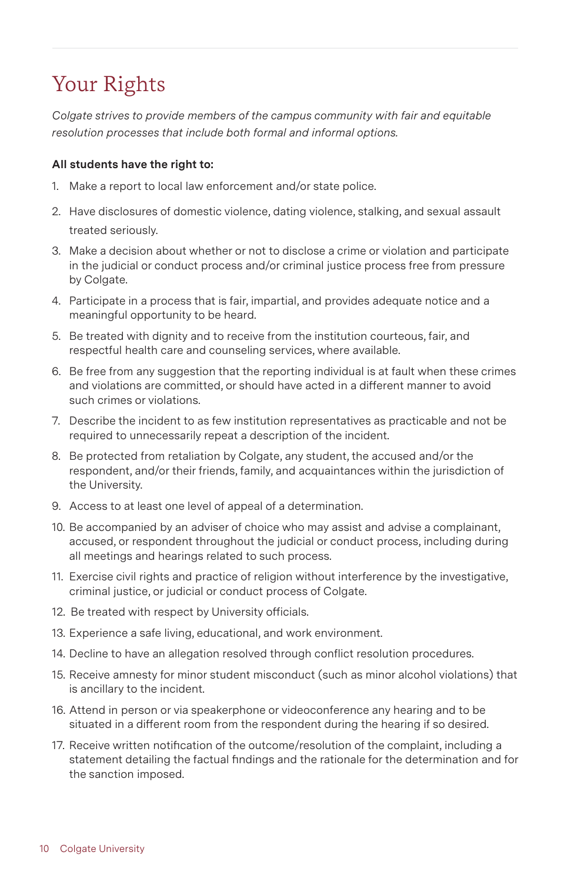### Your Rights

 *Colgate strives to provide members of the campus community with fair and equitable resolution processes that include both formal and informal options.* 

### **All students have the right to:**

- 1. Make a report to local law enforcement and/or state police.
- 2. Have disclosures of domestic violence, dating violence, stalking, and sexual assault treated seriously.
- 3. Make a decision about whether or not to disclose a crime or violation and participate in the judicial or conduct process and/or criminal justice process free from pressure by Colgate.
- 4. Participate in a process that is fair, impartial, and provides adequate notice and a meaningful opportunity to be heard.
- 5. Be treated with dignity and to receive from the institution courteous, fair, and respectful health care and counseling services, where available.
- 6. Be free from any suggestion that the reporting individual is at fault when these crimes and violations are committed, or should have acted in a different manner to avoid such crimes or violations.
- 7. Describe the incident to as few institution representatives as practicable and not be required to unnecessarily repeat a description of the incident.
- 8. Be protected from retaliation by Colgate, any student, the accused and/or the respondent, and/or their friends, family, and acquaintances within the jurisdiction of the University.
- 9. Access to at least one level of appeal of a determination.
- 10. Be accompanied by an adviser of choice who may assist and advise a complainant, accused, or respondent throughout the judicial or conduct process, including during all meetings and hearings related to such process.
- 11. Exercise civil rights and practice of religion without interference by the investigative, criminal justice, or judicial or conduct process of Colgate.
- 12. Be treated with respect by University officials.
- 13. Experience a safe living, educational, and work environment.
- 14. Decline to have an allegation resolved through conflict resolution procedures.
- 15. Receive amnesty for minor student misconduct (such as minor alcohol violations) that is ancillary to the incident.
- 16. Attend in person or via speakerphone or videoconference any hearing and to be situated in a different room from the respondent during the hearing if so desired.
- 17. Receive written notification of the outcome/resolution of the complaint, including a statement detailing the factual findings and the rationale for the determination and for the sanction imposed.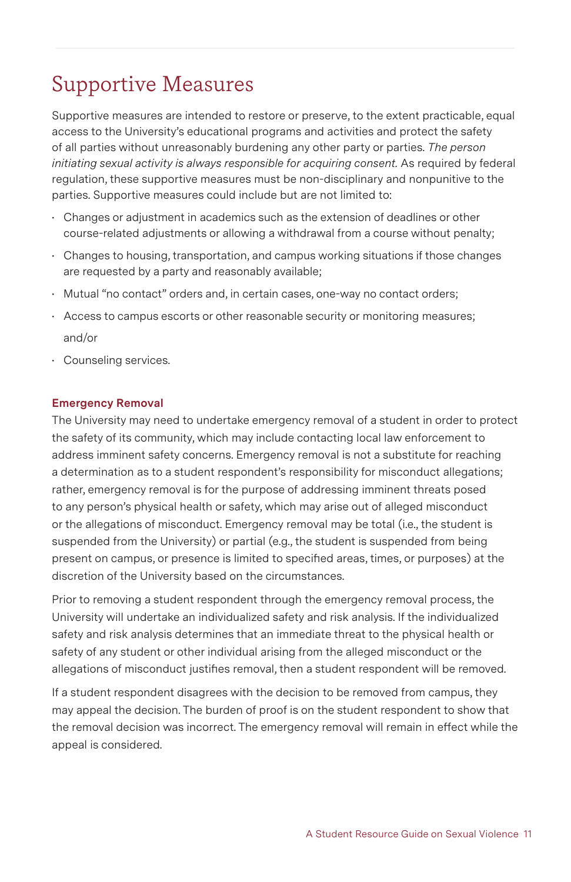# Supportive Measures

 Supportive measures are intended to restore or preserve, to the extent practicable, equal access to the University's educational programs and activities and protect the safety of all parties without unreasonably burdening any other party or parties. *The person initiating sexual activity is always responsible for acquiring consent.* As required by federal regulation, these supportive measures must be non-disciplinary and nonpunitive to the parties. Supportive measures could include but are not limited to:

- Changes or adjustment in academics such as the extension of deadlines or other • Changes or adjustment in academics such as the extension of deadlines or other course-related adjustments or allowing a withdrawal from a course without penalty;
- $\cdot$  Changes to housing, transportation, and campus working situations if those changes are requested by a party and reasonably available;
- • Mutual "no contact" orders and, in certain cases, one-way no contact orders;
- • Access to campus escorts or other reasonable security or monitoring measures; and/or
- • Counseling services.

### **Emergency Removal**

 The University may need to undertake emergency removal of a student in order to protect the safety of its community, which may include contacting local law enforcement to address imminent safety concerns. Emergency removal is not a substitute for reaching a determination as to a student respondent's responsibility for misconduct allegations; rather, emergency removal is for the purpose of addressing imminent threats posed to any person's physical health or safety, which may arise out of alleged misconduct or the allegations of misconduct. Emergency removal may be total (i.e., the student is suspended from the University) or partial (e.g., the student is suspended from being present on campus, or presence is limited to specified areas, times, or purposes) at the discretion of the University based on the circumstances.

 Prior to removing a student respondent through the emergency removal process, the safety and risk analysis determines that an immediate threat to the physical health or safety of any student or other individual arising from the alleged misconduct or the allegations of misconduct justifies removal, then a student respondent will be removed. University will undertake an individualized safety and risk analysis. If the individualized

 If a student respondent disagrees with the decision to be removed from campus, they may appeal the decision. The burden of proof is on the student respondent to show that the removal decision was incorrect. The emergency removal will remain in effect while the appeal is considered.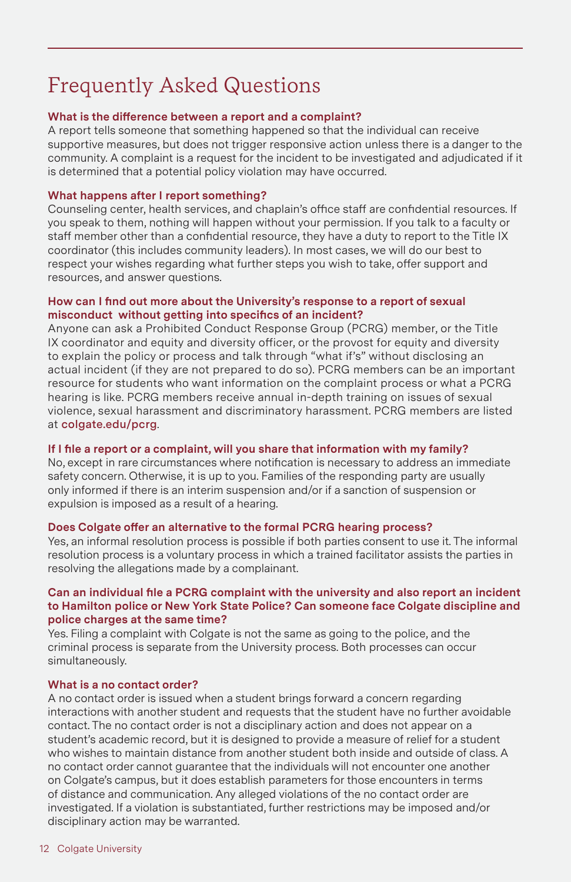# Frequently Asked Questions

### **What is the difference between a report and a complaint?**

 A report tells someone that something happened so that the individual can receive supportive measures, but does not trigger responsive action unless there is a danger to the community. A complaint is a request for the incident to be investigated and adjudicated if it is determined that a potential policy violation may have occurred.

#### **What happens after I report something?**

 you speak to them, nothing will happen without your permission. If you talk to a faculty or staff member other than a confidential resource, they have a duty to report to the Title IX coordinator (this includes community leaders). In most cases, we will do our best to Counseling center, health services, and chaplain's office staff are confidential resources. If respect your wishes regarding what further steps you wish to take, offer support and resources, and answer questions.

#### **How can I find out more about the University's response to a report of sexual misconduct without getting into specifics of an incident?**

 Anyone can ask a Prohibited Conduct Response Group (PCRG) member, or the Title IX coordinator and equity and diversity officer, or the provost for equity and diversity actual incident (if they are not prepared to do so). PCRG members can be an important resource for students who want information on the complaint process or what a PCRG hearing is like. PCRG members receive annual in-depth training on issues of sexual to explain the policy or process and talk through "what if's" without disclosing an violence, sexual harassment and discriminatory harassment. PCRG members are listed at **[colgate.edu/pcrg](http://colgate.edu/pcrg)**.

### **If I file a report or a complaint, will you share that information with my family?**

 safety concern. Otherwise, it is up to you. Families of the responding party are usually only informed if there is an interim suspension and/or if a sanction of suspension or No, except in rare circumstances where notification is necessary to address an immediate expulsion is imposed as a result of a hearing.

### **Does Colgate offer an alternative to the formal PCRG hearing process?**

 Yes, an informal resolution process is possible if both parties consent to use it. The informal resolution process is a voluntary process in which a trained facilitator assists the parties in resolving the allegations made by a complainant.

### **to Hamilton police or New York State Police? Can someone face Colgate discipline and police charges at the same time? Can an individual file a PCRG complaint with the university and also report an incident**

 Yes. Filing a complaint with Colgate is not the same as going to the police, and the criminal process is separate from the University process. Both processes can occur simultaneously.

### **What is a no contact order?**

 A no contact order is issued when a student brings forward a concern regarding interactions with another student and requests that the student have no further avoidable contact. The no contact order is not a disciplinary action and does not appear on a student's academic record, but it is designed to provide a measure of relief for a student who wishes to maintain distance from another student both inside and outside of class. A no contact order cannot guarantee that the individuals will not encounter one another on Colgate's campus, but it does establish parameters for those encounters in terms of distance and communication. Any alleged violations of the no contact order are investigated. If a violation is substantiated, further restrictions may be imposed and/or disciplinary action may be warranted.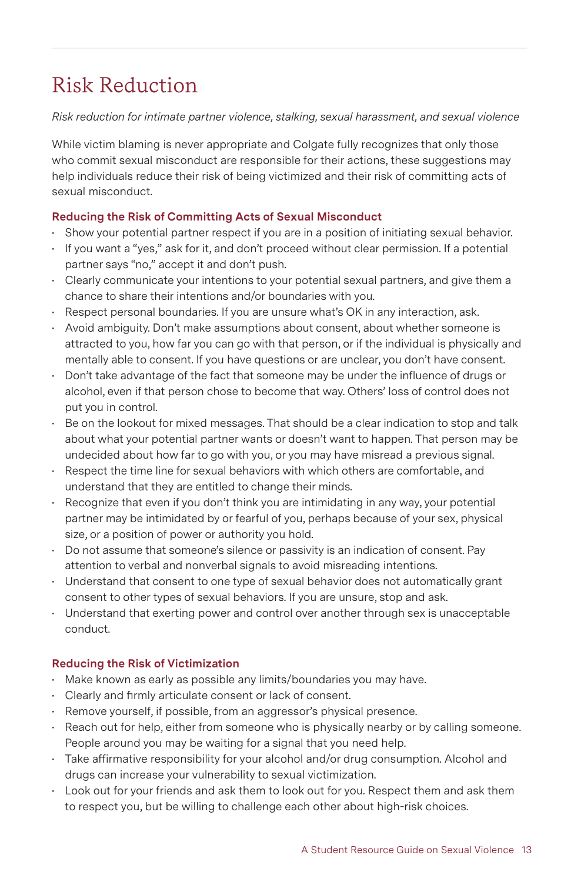# Risk Reduction

### *Risk reduction for intimate partner violence, stalking, sexual harassment, and sexual violence*

 While victim blaming is never appropriate and Colgate fully recognizes that only those who commit sexual misconduct are responsible for their actions, these suggestions may help individuals reduce their risk of being victimized and their risk of committing acts of sexual misconduct.

### **Reducing the Risk of Committing Acts of Sexual Misconduct**

- $\cdot$  Show your potential partner respect if you are in a position of initiating sexual behavior.
- $\cdot$  If you want a "yes," ask for it, and don't proceed without clear permission. If a potential partner says "no," accept it and don't push.
- $\cdot$  Clearly communicate your intentions to your potential sexual partners, and give them a chance to share their intentions and/or boundaries with you.
- $\cdot$  Respect personal boundaries. If you are unsure what's OK in any interaction, ask.
- $\,\cdot\,\,$  Avoid ambiguity. Don't make assumptions about consent, about whether someone is attracted to you, how far you can go with that person, or if the individual is physically and mentally able to consent. If you have questions or are unclear, you don't have consent.
- $\cdot$  Don't take advantage of the fact that someone may be under the influence of drugs or alcohol, even if that person chose to become that way. Others' loss of control does not put you in control.
- $\cdot$  Be on the lookout for mixed messages. That should be a clear indication to stop and talk about what your potential partner wants or doesn't want to happen. That person may be undecided about how far to go with you, or you may have misread a previous signal.
- $\cdot$  Respect the time line for sexual behaviors with which others are comfortable, and understand that they are entitled to change their minds.
- $\cdot$  Recognize that even if you don't think you are intimidating in any way, your potential partner may be intimidated by or fearful of you, perhaps because of your sex, physical size, or a position of power or authority you hold.
- $\,\cdot\,\,$  Do not assume that someone's silence or passivity is an indication of consent. Pay attention to verbal and nonverbal signals to avoid misreading intentions.
- $\cdot$  Understand that consent to one type of sexual behavior does not automatically grant consent to other types of sexual behaviors. If you are unsure, stop and ask.
- • Understand that exerting power and control over another through sex is unacceptable conduct.

### **Reducing the Risk of Victimization**

- Make known as early as possible any limits/boundaries you may have.
- • Clearly and firmly articulate consent or lack of consent.
- • Remove yourself, if possible, from an aggressor's physical presence.
- $\cdot$  Reach out for help, either from someone who is physically nearby or by calling someone. People around you may be waiting for a signal that you need help.
- $\cdot$  Take affirmative responsibility for your alcohol and/or drug consumption. Alcohol and drugs can increase your vulnerability to sexual victimization.
- $\cdot$  Look out for your friends and ask them to look out for you. Respect them and ask them to respect you, but be willing to challenge each other about high-risk choices.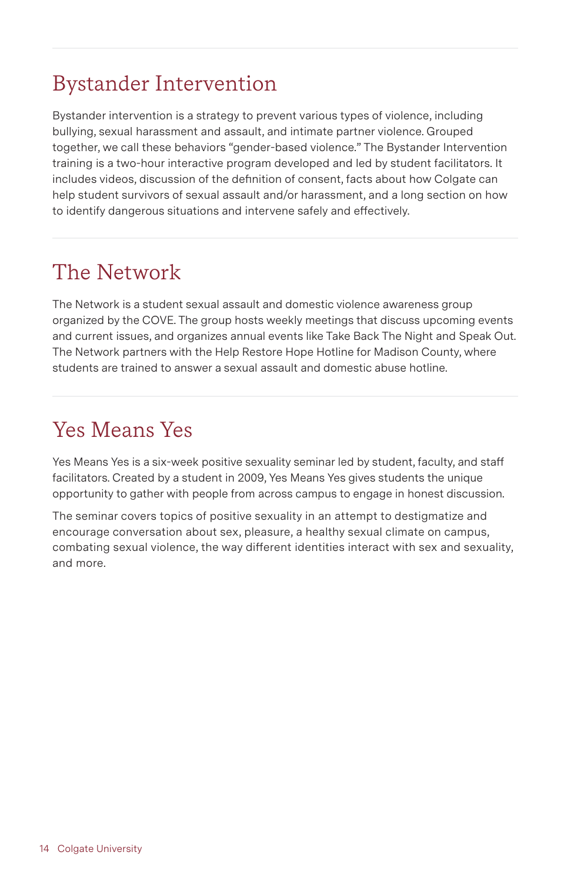### Bystander Intervention

 Bystander intervention is a strategy to prevent various types of violence, including bullying, sexual harassment and assault, and intimate partner violence. Grouped together, we call these behaviors "gender-based violence." The Bystander Intervention training is a two-hour interactive program developed and led by student facilitators. It includes videos, discussion of the definition of consent, facts about how Colgate can help student survivors of sexual assault and/or harassment, and a long section on how to identify dangerous situations and intervene safely and effectively.

# The Network

 The Network is a student sexual assault and domestic violence awareness group organized by the COVE. The group hosts weekly meetings that discuss upcoming events and current issues, and organizes annual events like Take Back The Night and Speak Out. The Network partners with the Help Restore Hope Hotline for Madison County, where students are trained to answer a sexual assault and domestic abuse hotline.

### Yes Means Yes

 Yes Means Yes is a six-week positive sexuality seminar led by student, faculty, and staff facilitators. Created by a student in 2009, Yes Means Yes gives students the unique opportunity to gather with people from across campus to engage in honest discussion.

 The seminar covers topics of positive sexuality in an attempt to destigmatize and encourage conversation about sex, pleasure, a healthy sexual climate on campus, combating sexual violence, the way different identities interact with sex and sexuality, and more.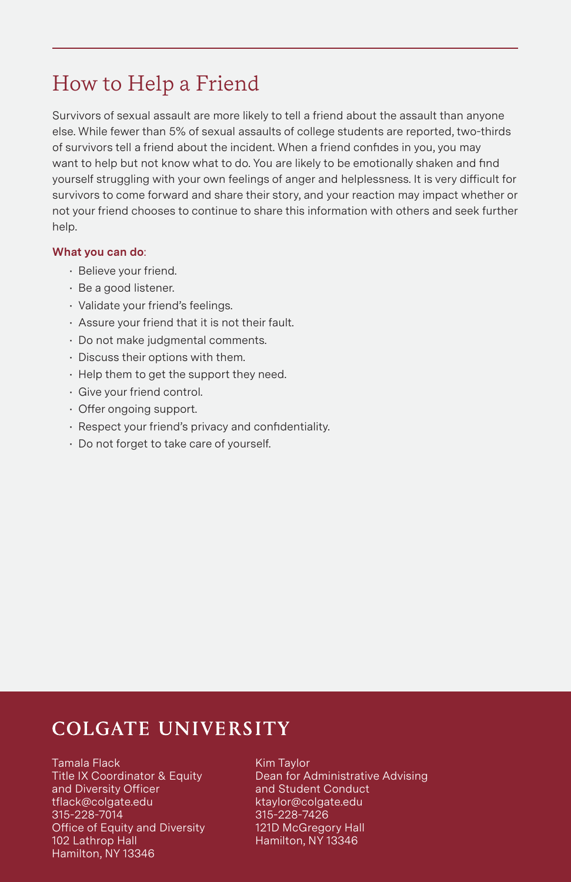### How to Help a Friend

 Survivors of sexual assault are more likely to tell a friend about the assault than anyone else. While fewer than 5% of sexual assaults of college students are reported, two-thirds of survivors tell a friend about the incident. When a friend confides in you, you may want to help but not know what to do. You are likely to be emotionally shaken and find yourself struggling with your own feelings of anger and helplessness. It is very difficult for survivors to come forward and share their story, and your reaction may impact whether or not your friend chooses to continue to share this information with others and seek further help.

### **What you can do**:

- Believe your friend.
- Be a good listener.
- Validate your friend's feelings.
- Assure your friend that it is not their fault.
- Do not make judgmental comments.
- Discuss their options with them.
- Help them to get the support they need.
- Give your friend control.
- Offer ongoing support.
- Respect your friend's privacy and confidentiality.
- Do not forget to take care of yourself.

### **COLGATE UNIVERSITY**

Tamala Flack Title IX Coordinator & Equity and Diversity Officer [tflack@colgate.edu](mailto:tflack@colgate.edu)  315-228-7014 Office of Equity and Diversity 102 Lathrop Hall Hamilton, NY 13346

Kim Taylor Dean for Administrative Advising and Student Conduct [ktaylor@colgate.edu](mailto:ktaylor@colgate.edu)  315-228-7426 121D McGregory Hall Hamilton, NY 13346